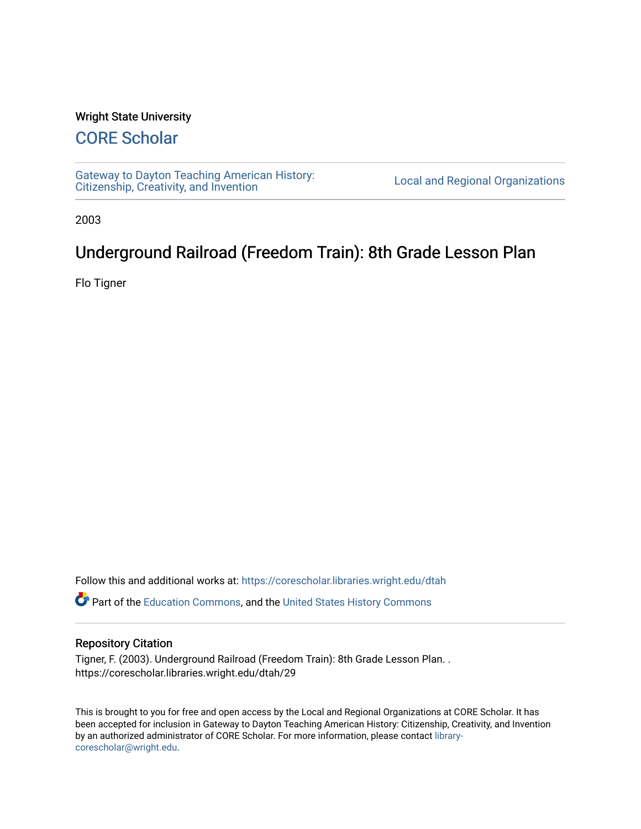## Wright State University

## [CORE Scholar](https://corescholar.libraries.wright.edu/)

[Gateway to Dayton Teaching American History:](https://corescholar.libraries.wright.edu/dtah)  Gateway to Dayton Teaching American History.<br>[Citizenship, Creativity, and Invention](https://corescholar.libraries.wright.edu/dtah) Listory Local and Regional Organizations

2003

## Underground Railroad (Freedom Train): 8th Grade Lesson Plan

Flo Tigner

Follow this and additional works at: [https://corescholar.libraries.wright.edu/dtah](https://corescholar.libraries.wright.edu/dtah?utm_source=corescholar.libraries.wright.edu%2Fdtah%2F29&utm_medium=PDF&utm_campaign=PDFCoverPages)

Part of the [Education Commons](http://network.bepress.com/hgg/discipline/784?utm_source=corescholar.libraries.wright.edu%2Fdtah%2F29&utm_medium=PDF&utm_campaign=PDFCoverPages), and the [United States History Commons](http://network.bepress.com/hgg/discipline/495?utm_source=corescholar.libraries.wright.edu%2Fdtah%2F29&utm_medium=PDF&utm_campaign=PDFCoverPages) 

## Repository Citation

Tigner, F. (2003). Underground Railroad (Freedom Train): 8th Grade Lesson Plan. . https://corescholar.libraries.wright.edu/dtah/29

This is brought to you for free and open access by the Local and Regional Organizations at CORE Scholar. It has been accepted for inclusion in Gateway to Dayton Teaching American History: Citizenship, Creativity, and Invention by an authorized administrator of CORE Scholar. For more information, please contact [library](mailto:library-corescholar@wright.edu)[corescholar@wright.edu](mailto:library-corescholar@wright.edu).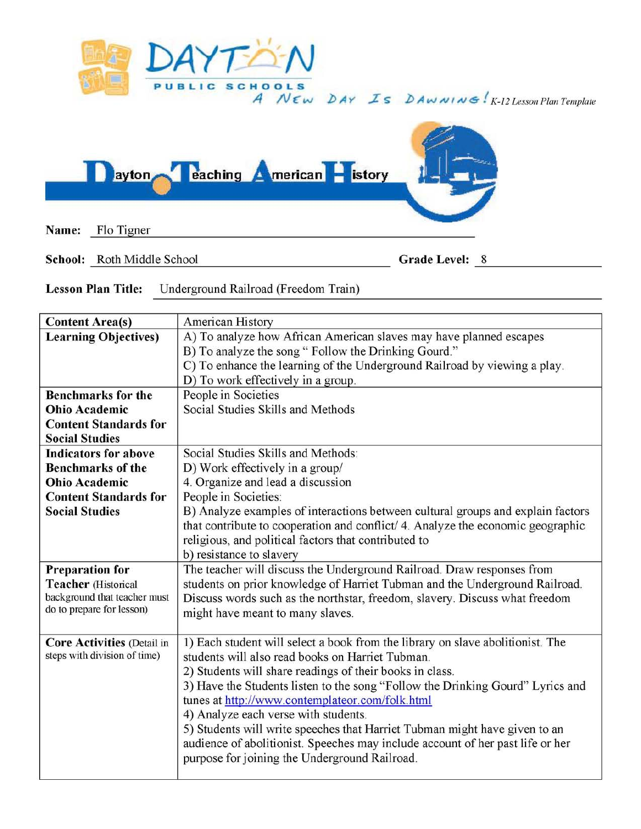

*A N* £ w **bAY** *..z'S* **b Aw AI I** *AJ <!It* ! *K-12 Lesson Plan Template* 



**School:** Roth Middle School **Grade Level:** 8

 $8$ 

**Lesson Plan Title:** Underground Railroad (Freedom Train)

| <b>Content Area(s)</b>            | American History                                                                |
|-----------------------------------|---------------------------------------------------------------------------------|
| <b>Learning Objectives)</b>       | A) To analyze how African American slaves may have planned escapes              |
|                                   | B) To analyze the song " Follow the Drinking Gourd."                            |
|                                   | C) To enhance the learning of the Underground Railroad by viewing a play.       |
|                                   | D) To work effectively in a group.                                              |
| <b>Benchmarks for the</b>         | People in Societies                                                             |
| <b>Ohio Academic</b>              | Social Studies Skills and Methods                                               |
| <b>Content Standards for</b>      |                                                                                 |
| <b>Social Studies</b>             |                                                                                 |
| <b>Indicators for above</b>       | Social Studies Skills and Methods:                                              |
| <b>Benchmarks of the</b>          | D) Work effectively in a group/                                                 |
| <b>Ohio Academic</b>              | 4. Organize and lead a discussion                                               |
| <b>Content Standards for</b>      | People in Societies:                                                            |
| <b>Social Studies</b>             | B) Analyze examples of interactions between cultural groups and explain factors |
|                                   | that contribute to cooperation and conflict/ 4. Analyze the economic geographic |
|                                   | religious, and political factors that contributed to                            |
|                                   | b) resistance to slavery                                                        |
| <b>Preparation for</b>            | The teacher will discuss the Underground Railroad. Draw responses from          |
| <b>Teacher</b> (Historical        | students on prior knowledge of Harriet Tubman and the Underground Railroad.     |
| background that teacher must      | Discuss words such as the northstar, freedom, slavery. Discuss what freedom     |
| do to prepare for lesson)         | might have meant to many slaves.                                                |
|                                   |                                                                                 |
| <b>Core Activities (Detail in</b> | 1) Each student will select a book from the library on slave abolitionist. The  |
| steps with division of time)      | students will also read books on Harriet Tubman.                                |
|                                   |                                                                                 |
|                                   | 2) Students will share readings of their books in class.                        |
|                                   | 3) Have the Students listen to the song "Follow the Drinking Gourd" Lyrics and  |
|                                   | tunes at http://www.contemplateor.com/folk.html                                 |
|                                   | 4) Analyze each verse with students.                                            |
|                                   | 5) Students will write speeches that Harriet Tubman might have given to an      |
|                                   | audience of abolitionist. Speeches may include account of her past life or her  |
|                                   | purpose for joining the Underground Railroad.                                   |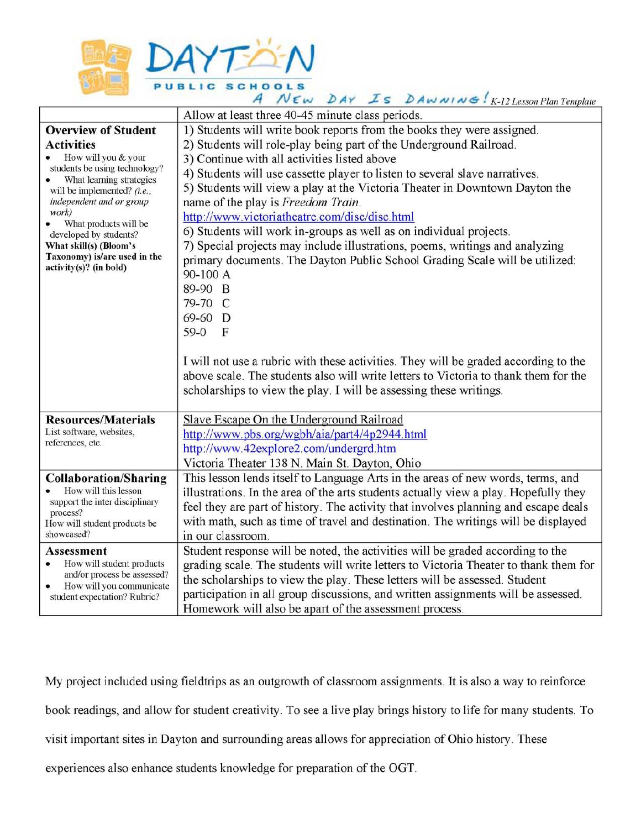

| A NEW DAY IS DAWNING: K-12 Lesson Plan Template                                                                 |                                                                                      |
|-----------------------------------------------------------------------------------------------------------------|--------------------------------------------------------------------------------------|
|                                                                                                                 | Allow at least three 40-45 minute class periods.                                     |
| <b>Overview of Student</b>                                                                                      | 1) Students will write book reports from the books they were assigned.               |
| <b>Activities</b>                                                                                               | 2) Students will role-play being part of the Underground Railroad.                   |
| How will you & your<br>students be using technology?<br>What learning strategies<br>will be implemented? (i.e., | 3) Continue with all activities listed above                                         |
|                                                                                                                 | 4) Students will use cassette player to listen to several slave narratives.          |
|                                                                                                                 | 5) Students will view a play at the Victoria Theater in Downtown Dayton the          |
| independent and or group                                                                                        | name of the play is Freedom Train.                                                   |
| work)<br>What products will be<br>developed by students?                                                        | http://www.victoriatheatre.com/disc/disc.html                                        |
|                                                                                                                 | 6) Students will work in-groups as well as on individual projects.                   |
| What skill(s) (Bloom's                                                                                          | 7) Special projects may include illustrations, poems, writings and analyzing         |
| Taxonomy) is/are used in the                                                                                    | primary documents. The Dayton Public School Grading Scale will be utilized:          |
| $activity(s)?$ (in bold)                                                                                        | 90-100 A                                                                             |
|                                                                                                                 | 89-90 B                                                                              |
|                                                                                                                 | 79-70 C                                                                              |
|                                                                                                                 | 69-60 D                                                                              |
|                                                                                                                 | 59-0 F                                                                               |
|                                                                                                                 |                                                                                      |
|                                                                                                                 | I will not use a rubric with these activities. They will be graded according to the  |
|                                                                                                                 | above scale. The students also will write letters to Victoria to thank them for the  |
|                                                                                                                 | scholarships to view the play. I will be assessing these writings.                   |
|                                                                                                                 |                                                                                      |
| <b>Resources/Materials</b>                                                                                      | Slave Escape On the Underground Railroad                                             |
| List software, websites,                                                                                        | http://www.pbs.org/wgbh/aia/part4/4p2944.html                                        |
| references, etc.                                                                                                | http://www.42explore2.com/undergrd.htm                                               |
|                                                                                                                 | Victoria Theater 138 N. Main St. Dayton, Ohio                                        |
| <b>Collaboration/Sharing</b>                                                                                    | This lesson lends itself to Language Arts in the areas of new words, terms, and      |
| How will this lesson                                                                                            | illustrations. In the area of the arts students actually view a play. Hopefully they |
| support the inter disciplinary<br>process?                                                                      | feel they are part of history. The activity that involves planning and escape deals  |
| How will student products be                                                                                    | with math, such as time of travel and destination. The writings will be displayed    |
| showcased?                                                                                                      | in our classroom.                                                                    |
| <b>Assessment</b>                                                                                               | Student response will be noted, the activities will be graded according to the       |
| How will student products                                                                                       | grading scale. The students will write letters to Victoria Theater to thank them for |
| and/or process be assessed?<br>How will you communicate                                                         | the scholarships to view the play. These letters will be assessed. Student           |
| student expectation? Rubric?                                                                                    | participation in all group discussions, and written assignments will be assessed.    |
|                                                                                                                 | Homework will also be apart of the assessment process.                               |

My project included using fieldtrips as an outgrowth of classroom assignments. It is also a way to reinforce book readings, and allow for student creativity. To see a live play brings history to life for many students. To visit important sites in Dayton and surrounding areas allows for appreciation of Ohio history. These experiences also enhance students knowledge for preparation of the OGT.